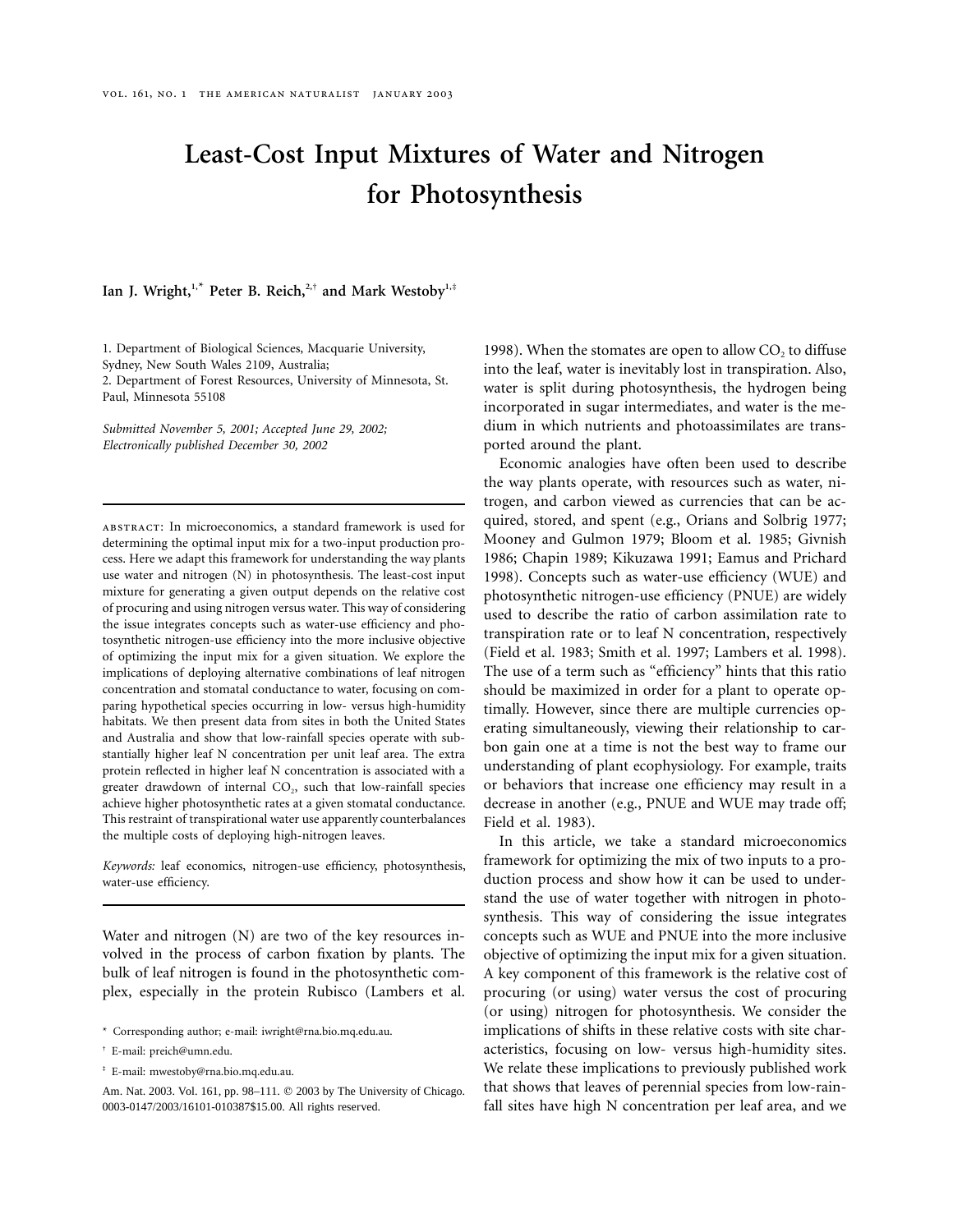# **Least-Cost Input Mixtures of Water and Nitrogen for Photosynthesis**

**Ian J. Wright,1,**\* **Peter B. Reich,2,**† **and Mark Westoby1,**‡

1. Department of Biological Sciences, Macquarie University, Sydney, New South Wales 2109, Australia; 2. Department of Forest Resources, University of Minnesota, St. Paul, Minnesota 55108

*Submitted November 5, 2001; Accepted June 29, 2002; Electronically published December 30, 2002*

abstract: In microeconomics, a standard framework is used for determining the optimal input mix for a two-input production process. Here we adapt this framework for understanding the way plants use water and nitrogen (N) in photosynthesis. The least-cost input mixture for generating a given output depends on the relative cost of procuring and using nitrogen versus water. This way of considering the issue integrates concepts such as water-use efficiency and photosynthetic nitrogen-use efficiency into the more inclusive objective of optimizing the input mix for a given situation. We explore the implications of deploying alternative combinations of leaf nitrogen concentration and stomatal conductance to water, focusing on comparing hypothetical species occurring in low- versus high-humidity habitats. We then present data from sites in both the United States and Australia and show that low-rainfall species operate with substantially higher leaf N concentration per unit leaf area. The extra protein reflected in higher leaf N concentration is associated with a greater drawdown of internal  $CO<sub>2</sub>$ , such that low-rainfall species achieve higher photosynthetic rates at a given stomatal conductance. This restraint of transpirational water use apparently counterbalances the multiple costs of deploying high-nitrogen leaves.

*Keywords:* leaf economics, nitrogen-use efficiency, photosynthesis, water-use efficiency.

Water and nitrogen (N) are two of the key resources involved in the process of carbon fixation by plants. The bulk of leaf nitrogen is found in the photosynthetic complex, especially in the protein Rubisco (Lambers et al.

1998). When the stomates are open to allow  $CO$ , to diffuse into the leaf, water is inevitably lost in transpiration. Also, water is split during photosynthesis, the hydrogen being incorporated in sugar intermediates, and water is the medium in which nutrients and photoassimilates are transported around the plant.

Economic analogies have often been used to describe the way plants operate, with resources such as water, nitrogen, and carbon viewed as currencies that can be acquired, stored, and spent (e.g., Orians and Solbrig 1977; Mooney and Gulmon 1979; Bloom et al. 1985; Givnish 1986; Chapin 1989; Kikuzawa 1991; Eamus and Prichard 1998). Concepts such as water-use efficiency (WUE) and photosynthetic nitrogen-use efficiency (PNUE) are widely used to describe the ratio of carbon assimilation rate to transpiration rate or to leaf N concentration, respectively (Field et al. 1983; Smith et al. 1997; Lambers et al. 1998). The use of a term such as "efficiency" hints that this ratio should be maximized in order for a plant to operate optimally. However, since there are multiple currencies operating simultaneously, viewing their relationship to carbon gain one at a time is not the best way to frame our understanding of plant ecophysiology. For example, traits or behaviors that increase one efficiency may result in a decrease in another (e.g., PNUE and WUE may trade off; Field et al. 1983).

In this article, we take a standard microeconomics framework for optimizing the mix of two inputs to a production process and show how it can be used to understand the use of water together with nitrogen in photosynthesis. This way of considering the issue integrates concepts such as WUE and PNUE into the more inclusive objective of optimizing the input mix for a given situation. A key component of this framework is the relative cost of procuring (or using) water versus the cost of procuring (or using) nitrogen for photosynthesis. We consider the implications of shifts in these relative costs with site characteristics, focusing on low- versus high-humidity sites. We relate these implications to previously published work that shows that leaves of perennial species from low-rainfall sites have high N concentration per leaf area, and we

<sup>\*</sup> Corresponding author; e-mail: iwright@rna.bio.mq.edu.au.

<sup>†</sup> E-mail: preich@umn.edu.

<sup>‡</sup> E-mail: mwestoby@rna.bio.mq.edu.au.

Am. Nat. 2003. Vol. 161, pp. 98-111. © 2003 by The University of Chicago. 0003-0147/2003/16101-010387\$15.00. All rights reserved.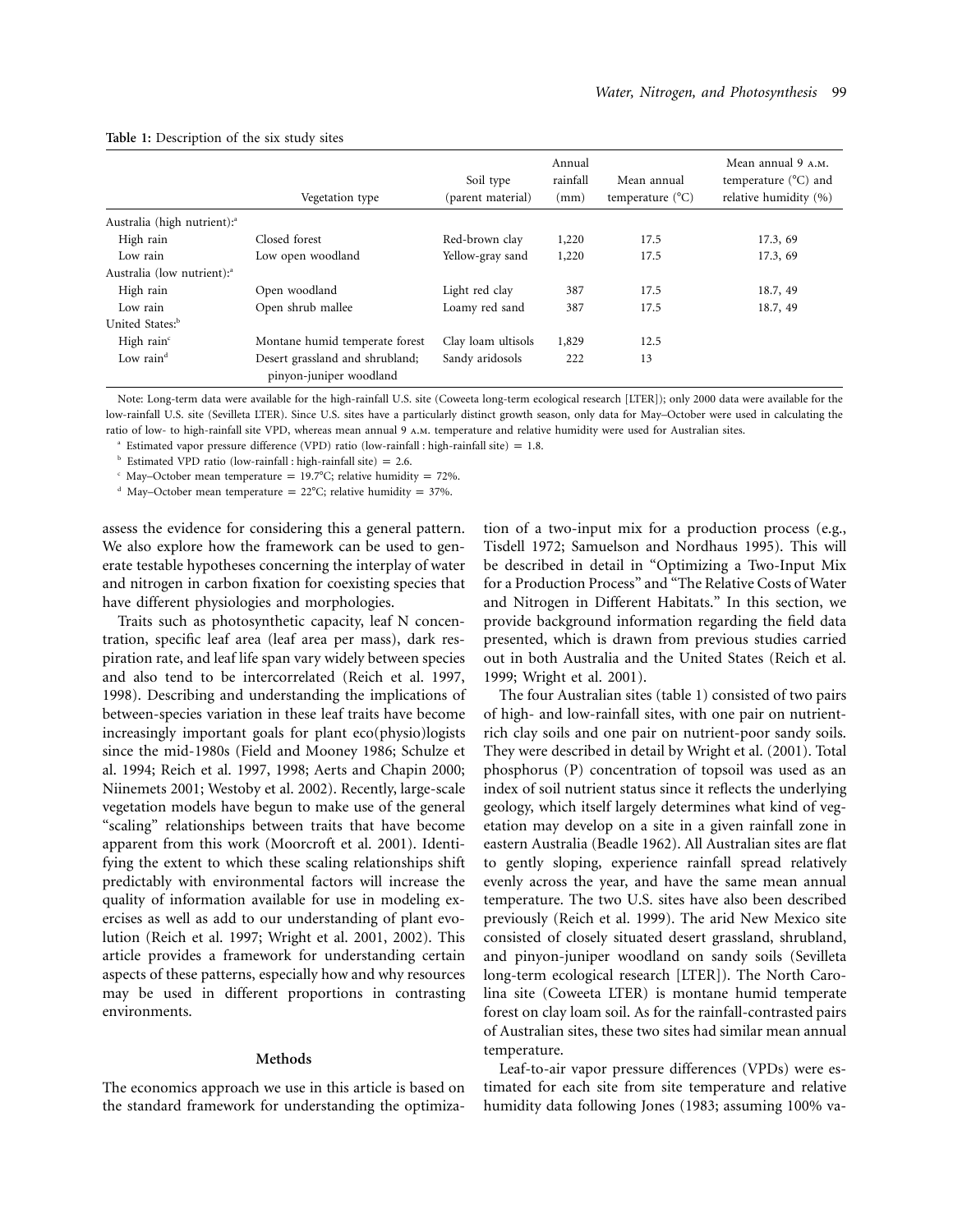|  | Table 1: Description of the six study sites |  |  |
|--|---------------------------------------------|--|--|
|  |                                             |  |  |

|                                         | Vegetation type                                            | Soil type<br>(parent material) | Annual<br>rainfall<br>(mm) | Mean annual<br>temperature $(^{\circ}C)$ | Mean annual 9 A.M.<br>temperature $(^{\circ}C)$ and<br>relative humidity (%) |
|-----------------------------------------|------------------------------------------------------------|--------------------------------|----------------------------|------------------------------------------|------------------------------------------------------------------------------|
| Australia (high nutrient): <sup>a</sup> |                                                            |                                |                            |                                          |                                                                              |
| High rain                               | Closed forest                                              | Red-brown clay                 | 1,220                      | 17.5                                     | 17.3, 69                                                                     |
| Low rain                                | Low open woodland                                          | Yellow-gray sand               | 1,220                      | 17.5                                     | 17.3, 69                                                                     |
| Australia (low nutrient): <sup>a</sup>  |                                                            |                                |                            |                                          |                                                                              |
| High rain                               | Open woodland                                              | Light red clay                 | 387                        | 17.5                                     | 18.7, 49                                                                     |
| Low rain                                | Open shrub mallee                                          | Loamy red sand                 | 387                        | 17.5                                     | 18.7, 49                                                                     |
| United States: <sup>b</sup>             |                                                            |                                |                            |                                          |                                                                              |
| High rain $c$                           | Montane humid temperate forest                             | Clay loam ultisols             | 1,829                      | 12.5                                     |                                                                              |
| Low rain $d$                            | Desert grassland and shrubland;<br>pinyon-juniper woodland | Sandy aridosols                | 222                        | 13                                       |                                                                              |

Note: Long-term data were available for the high-rainfall U.S. site (Coweeta long-term ecological research [LTER]); only 2000 data were available for the low-rainfall U.S. site (Sevilleta LTER). Since U.S. sites have a particularly distinct growth season, only data for May–October were used in calculating the ratio of low- to high-rainfall site VPD, whereas mean annual 9 a.m. temperature and relative humidity were used for Australian sites.

<sup>a</sup> Estimated vapor pressure difference (VPD) ratio (low-rainfall : high-rainfall site) = 1.8.

<sup>b</sup> Estimated VPD ratio (low-rainfall : high-rainfall site) = 2.6.

May–October mean temperature = 19.7°C; relative humidity = 72%.

<sup>d</sup> May–October mean temperature = 22°C; relative humidity = 37%.

assess the evidence for considering this a general pattern. We also explore how the framework can be used to generate testable hypotheses concerning the interplay of water and nitrogen in carbon fixation for coexisting species that have different physiologies and morphologies.

Traits such as photosynthetic capacity, leaf N concentration, specific leaf area (leaf area per mass), dark respiration rate, and leaf life span vary widely between species and also tend to be intercorrelated (Reich et al. 1997, 1998). Describing and understanding the implications of between-species variation in these leaf traits have become increasingly important goals for plant eco(physio)logists since the mid-1980s (Field and Mooney 1986; Schulze et al. 1994; Reich et al. 1997, 1998; Aerts and Chapin 2000; Niinemets 2001; Westoby et al. 2002). Recently, large-scale vegetation models have begun to make use of the general "scaling" relationships between traits that have become apparent from this work (Moorcroft et al. 2001). Identifying the extent to which these scaling relationships shift predictably with environmental factors will increase the quality of information available for use in modeling exercises as well as add to our understanding of plant evolution (Reich et al. 1997; Wright et al. 2001, 2002). This article provides a framework for understanding certain aspects of these patterns, especially how and why resources may be used in different proportions in contrasting environments.

## **Methods**

The economics approach we use in this article is based on the standard framework for understanding the optimization of a two-input mix for a production process (e.g., Tisdell 1972; Samuelson and Nordhaus 1995). This will be described in detail in "Optimizing a Two-Input Mix for a Production Process" and "The Relative Costs of Water and Nitrogen in Different Habitats." In this section, we provide background information regarding the field data presented, which is drawn from previous studies carried out in both Australia and the United States (Reich et al. 1999; Wright et al. 2001).

The four Australian sites (table 1) consisted of two pairs of high- and low-rainfall sites, with one pair on nutrientrich clay soils and one pair on nutrient-poor sandy soils. They were described in detail by Wright et al. (2001). Total phosphorus (P) concentration of topsoil was used as an index of soil nutrient status since it reflects the underlying geology, which itself largely determines what kind of vegetation may develop on a site in a given rainfall zone in eastern Australia (Beadle 1962). All Australian sites are flat to gently sloping, experience rainfall spread relatively evenly across the year, and have the same mean annual temperature. The two U.S. sites have also been described previously (Reich et al. 1999). The arid New Mexico site consisted of closely situated desert grassland, shrubland, and pinyon-juniper woodland on sandy soils (Sevilleta long-term ecological research [LTER]). The North Carolina site (Coweeta LTER) is montane humid temperate forest on clay loam soil. As for the rainfall-contrasted pairs of Australian sites, these two sites had similar mean annual temperature.

Leaf-to-air vapor pressure differences (VPDs) were estimated for each site from site temperature and relative humidity data following Jones (1983; assuming 100% va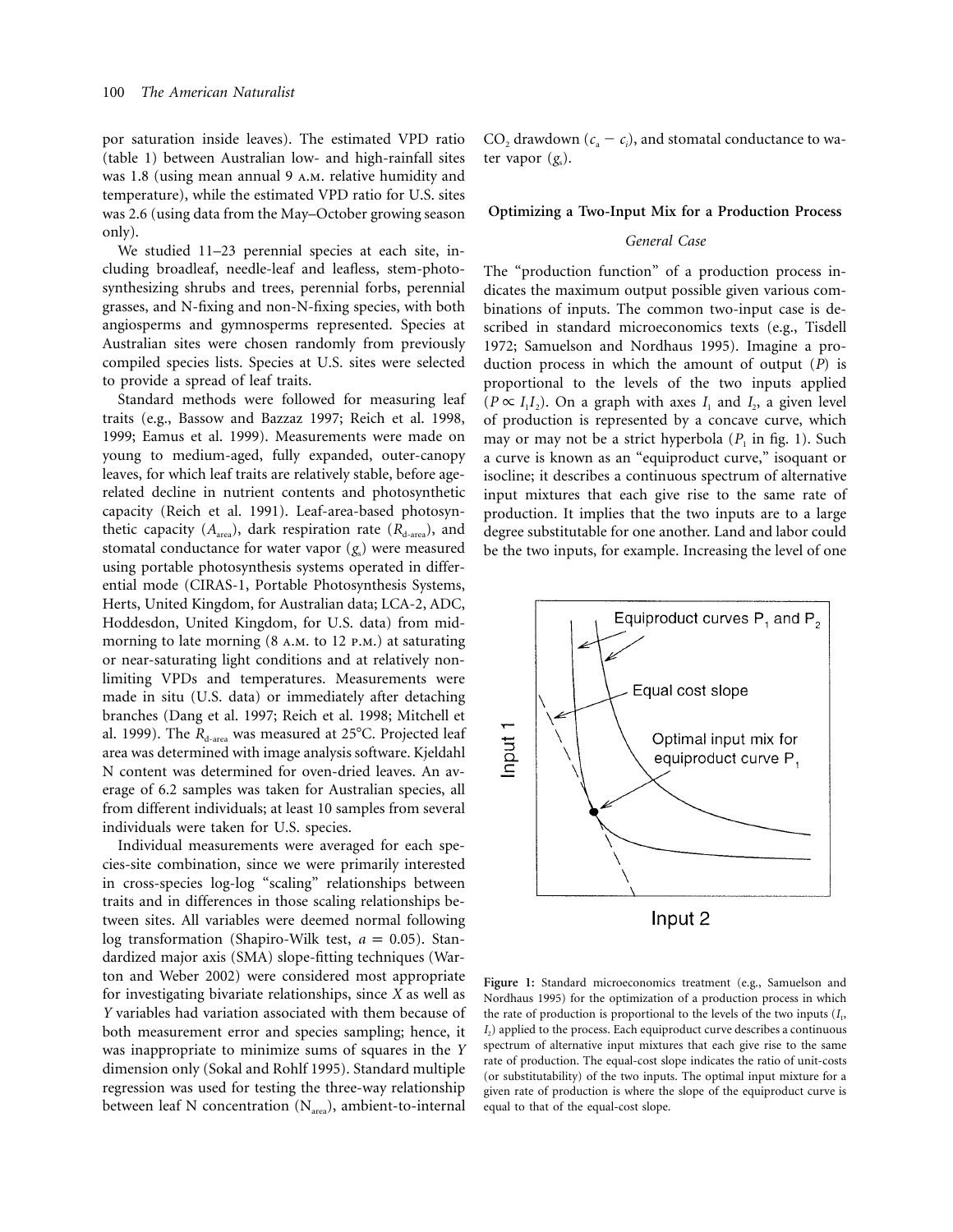por saturation inside leaves). The estimated VPD ratio (table 1) between Australian low- and high-rainfall sites was 1.8 (using mean annual 9 a.m. relative humidity and temperature), while the estimated VPD ratio for U.S. sites was 2.6 (using data from the May–October growing season only).

We studied 11–23 perennial species at each site, including broadleaf, needle-leaf and leafless, stem-photosynthesizing shrubs and trees, perennial forbs, perennial grasses, and N-fixing and non-N-fixing species, with both angiosperms and gymnosperms represented. Species at Australian sites were chosen randomly from previously compiled species lists. Species at U.S. sites were selected to provide a spread of leaf traits.

Standard methods were followed for measuring leaf traits (e.g., Bassow and Bazzaz 1997; Reich et al. 1998, 1999; Eamus et al. 1999). Measurements were made on young to medium-aged, fully expanded, outer-canopy leaves, for which leaf traits are relatively stable, before agerelated decline in nutrient contents and photosynthetic capacity (Reich et al. 1991). Leaf-area-based photosynthetic capacity ( $A_{area}$ ), dark respiration rate ( $R_{d-area}$ ), and stomatal conductance for water vapor (g<sub>s</sub>) were measured using portable photosynthesis systems operated in differential mode (CIRAS-1, Portable Photosynthesis Systems, Herts, United Kingdom, for Australian data; LCA-2, ADC, Hoddesdon, United Kingdom, for U.S. data) from midmorning to late morning (8 a.m. to 12 p.m.) at saturating or near-saturating light conditions and at relatively nonlimiting VPDs and temperatures. Measurements were made in situ (U.S. data) or immediately after detaching branches (Dang et al. 1997; Reich et al. 1998; Mitchell et al. 1999). The *R*<sub>d-area</sub> was measured at 25°C. Projected leaf area was determined with image analysis software. Kjeldahl N content was determined for oven-dried leaves. An average of 6.2 samples was taken for Australian species, all from different individuals; at least 10 samples from several individuals were taken for U.S. species.

Individual measurements were averaged for each species-site combination, since we were primarily interested in cross-species log-log "scaling" relationships between traits and in differences in those scaling relationships between sites. All variables were deemed normal following log transformation (Shapiro-Wilk test,  $a = 0.05$ ). Standardized major axis (SMA) slope-fitting techniques (Warton and Weber 2002) were considered most appropriate for investigating bivariate relationships, since *X* as well as *Y* variables had variation associated with them because of both measurement error and species sampling; hence, it was inappropriate to minimize sums of squares in the *Y* dimension only (Sokal and Rohlf 1995). Standard multiple regression was used for testing the three-way relationship between leaf N concentration  $(N_{area})$ , ambient-to-internal  $CO<sub>2</sub>$  drawdown ( $c<sub>a</sub> - c<sub>i</sub>$ ), and stomatal conductance to water vapor (*g*<sup>s</sup> ).

#### **Optimizing a Two-Input Mix for a Production Process**

# *General Case*

The "production function" of a production process indicates the maximum output possible given various combinations of inputs. The common two-input case is described in standard microeconomics texts (e.g., Tisdell 1972; Samuelson and Nordhaus 1995). Imagine a production process in which the amount of output (*P*) is proportional to the levels of the two inputs applied  $(P \propto I_1 I_2)$ . On a graph with axes *I*<sub>1</sub> and *I*<sub>2</sub>, a given level of production is represented by a concave curve, which may or may not be a strict hyperbola  $(P_1$  in fig. 1). Such a curve is known as an "equiproduct curve," isoquant or isocline; it describes a continuous spectrum of alternative input mixtures that each give rise to the same rate of production. It implies that the two inputs are to a large degree substitutable for one another. Land and labor could be the two inputs, for example. Increasing the level of one



**Figure 1:** Standard microeconomics treatment (e.g., Samuelson and Nordhaus 1995) for the optimization of a production process in which the rate of production is proportional to the levels of the two inputs  $(I_1, I_2)$ *I*<sub>2</sub>) applied to the process. Each equiproduct curve describes a continuous spectrum of alternative input mixtures that each give rise to the same rate of production. The equal-cost slope indicates the ratio of unit-costs (or substitutability) of the two inputs. The optimal input mixture for a given rate of production is where the slope of the equiproduct curve is equal to that of the equal-cost slope.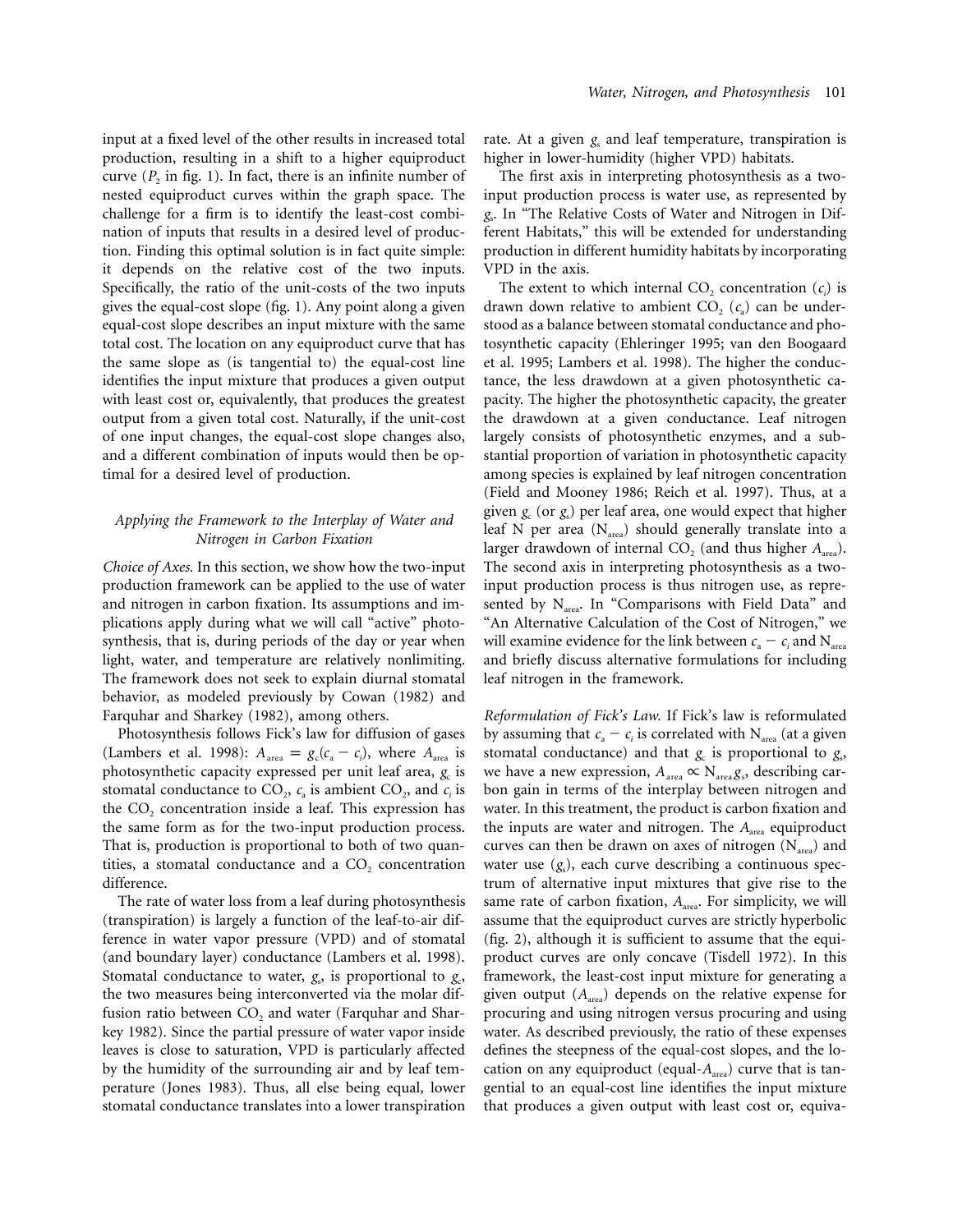input at a fixed level of the other results in increased total production, resulting in a shift to a higher equiproduct curve  $(P_2$  in fig. 1). In fact, there is an infinite number of nested equiproduct curves within the graph space. The challenge for a firm is to identify the least-cost combination of inputs that results in a desired level of production. Finding this optimal solution is in fact quite simple: it depends on the relative cost of the two inputs. Specifically, the ratio of the unit-costs of the two inputs gives the equal-cost slope (fig. 1). Any point along a given equal-cost slope describes an input mixture with the same total cost. The location on any equiproduct curve that has the same slope as (is tangential to) the equal-cost line identifies the input mixture that produces a given output with least cost or, equivalently, that produces the greatest output from a given total cost. Naturally, if the unit-cost of one input changes, the equal-cost slope changes also, and a different combination of inputs would then be optimal for a desired level of production.

# *Applying the Framework to the Interplay of Water and Nitrogen in Carbon Fixation*

*Choice of Axes.* In this section, we show how the two-input production framework can be applied to the use of water and nitrogen in carbon fixation. Its assumptions and implications apply during what we will call "active" photosynthesis, that is, during periods of the day or year when light, water, and temperature are relatively nonlimiting. The framework does not seek to explain diurnal stomatal behavior, as modeled previously by Cowan (1982) and Farquhar and Sharkey (1982), among others.

Photosynthesis follows Fick's law for diffusion of gases (Lambers et al. 1998):  $A_{area} = g_c(c_a - c_i)$ , where  $A_{area}$  is photosynthetic capacity expressed per unit leaf area,  $g_c$  is stomatal conductance to  $CO_2$ ,  $c_a$  is ambient  $CO_2$ , and  $c_i$  is the  $CO<sub>2</sub>$  concentration inside a leaf. This expression has the same form as for the two-input production process. That is, production is proportional to both of two quantities, a stomatal conductance and a  $CO<sub>2</sub>$  concentration difference.

The rate of water loss from a leaf during photosynthesis (transpiration) is largely a function of the leaf-to-air difference in water vapor pressure (VPD) and of stomatal (and boundary layer) conductance (Lambers et al. 1998). Stomatal conductance to water,  $g_s$ , is proportional to  $g_c$ , the two measures being interconverted via the molar diffusion ratio between  $CO<sub>2</sub>$  and water (Farquhar and Sharkey 1982). Since the partial pressure of water vapor inside leaves is close to saturation, VPD is particularly affected by the humidity of the surrounding air and by leaf temperature (Jones 1983). Thus, all else being equal, lower stomatal conductance translates into a lower transpiration rate. At a given *g*<sub>s</sub> and leaf temperature, transpiration is higher in lower-humidity (higher VPD) habitats.

The first axis in interpreting photosynthesis as a twoinput production process is water use, as represented by *g*s . In "The Relative Costs of Water and Nitrogen in Different Habitats," this will be extended for understanding production in different humidity habitats by incorporating VPD in the axis.

The extent to which internal  $CO_2$  concentration  $(c_i)$  is drawn down relative to ambient  $CO<sub>2</sub>(c<sub>a</sub>)$  can be understood as a balance between stomatal conductance and photosynthetic capacity (Ehleringer 1995; van den Boogaard et al. 1995; Lambers et al. 1998). The higher the conductance, the less drawdown at a given photosynthetic capacity. The higher the photosynthetic capacity, the greater the drawdown at a given conductance. Leaf nitrogen largely consists of photosynthetic enzymes, and a substantial proportion of variation in photosynthetic capacity among species is explained by leaf nitrogen concentration (Field and Mooney 1986; Reich et al. 1997). Thus, at a given *g*<sup>c</sup> (or *g*<sup>s</sup> ) per leaf area, one would expect that higher leaf N per area  $(N_{area})$  should generally translate into a larger drawdown of internal CO<sub>2</sub> (and thus higher  $A_{area}$ ). The second axis in interpreting photosynthesis as a twoinput production process is thus nitrogen use, as represented by N<sub>area</sub>. In "Comparisons with Field Data" and "An Alternative Calculation of the Cost of Nitrogen," we will examine evidence for the link between  $c_a - c_i$  and  $N_{area}$ and briefly discuss alternative formulations for including leaf nitrogen in the framework.

*Reformulation of Fick's Law.* If Fick's law is reformulated by assuming that  $c_a - c_i$  is correlated with N<sub>area</sub> (at a given stomatal conductance) and that  $g_c$  is proportional to  $g_s$ , we have a new expression,  $A_{area} \propto N_{area} g_s$ , describing carbon gain in terms of the interplay between nitrogen and water. In this treatment, the product is carbon fixation and the inputs are water and nitrogen. The A<sub>area</sub> equiproduct curves can then be drawn on axes of nitrogen  $(N_{area})$  and water use  $(g_s)$ , each curve describing a continuous spectrum of alternative input mixtures that give rise to the same rate of carbon fixation,  $A_{area}$ . For simplicity, we will assume that the equiproduct curves are strictly hyperbolic (fig. 2), although it is sufficient to assume that the equiproduct curves are only concave (Tisdell 1972). In this framework, the least-cost input mixture for generating a given output  $(A<sub>area</sub>)$  depends on the relative expense for procuring and using nitrogen versus procuring and using water. As described previously, the ratio of these expenses defines the steepness of the equal-cost slopes, and the location on any equiproduct (equal-A<sub>area</sub>) curve that is tangential to an equal-cost line identifies the input mixture that produces a given output with least cost or, equiva-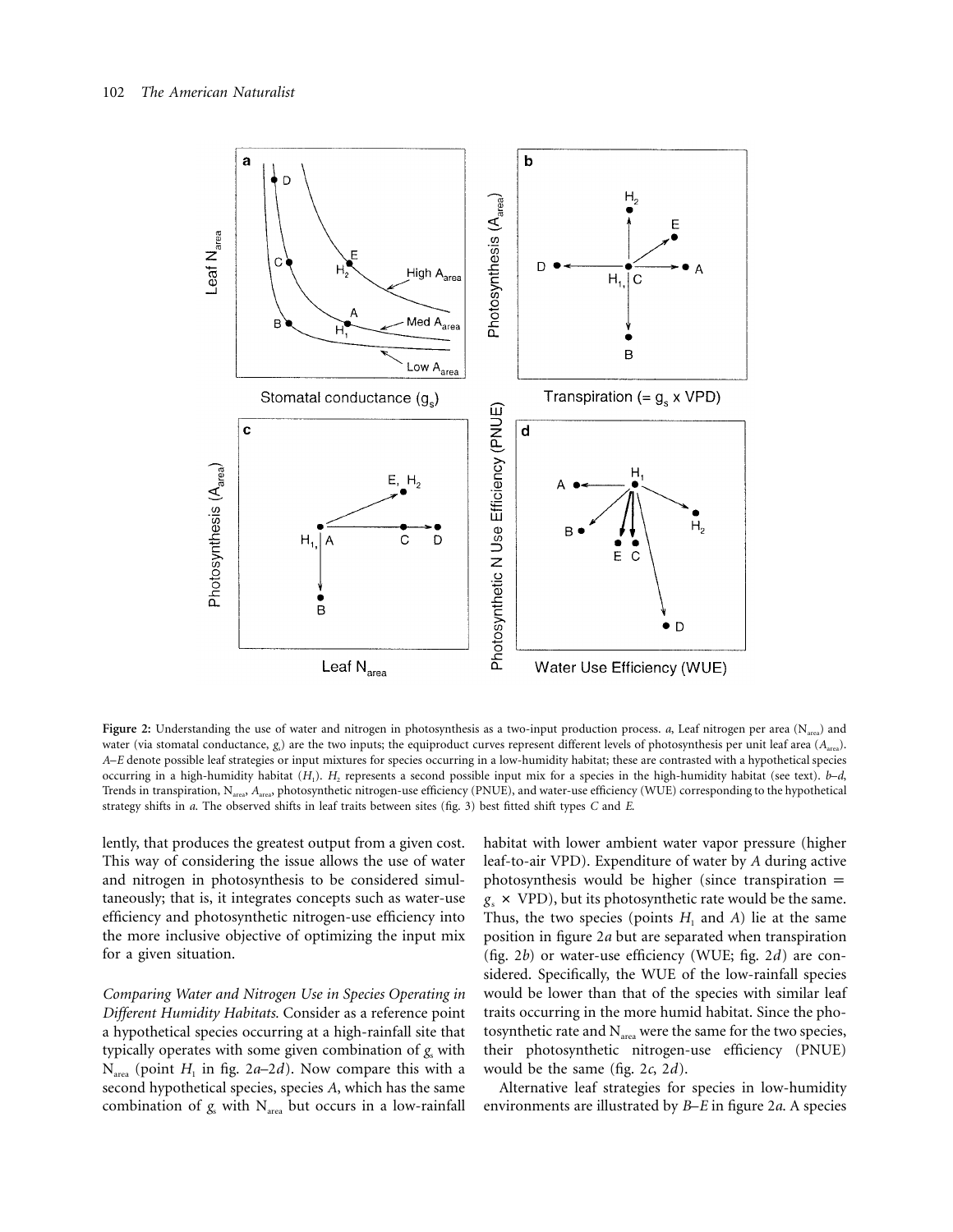

**Figure 2:** Understanding the use of water and nitrogen in photosynthesis as a two-input production process. *a*, Leaf nitrogen per area (N<sub>area</sub>) and water (via stomatal conductance, *g*<sup>s</sup> ) are the two inputs; the equiproduct curves represent different levels of photosynthesis per unit leaf area (*A*area). *A*–*E* denote possible leaf strategies or input mixtures for species occurring in a low-humidity habitat; these are contrasted with a hypothetical species occurring in a high-humidity habitat (*H*1). *H*<sup>2</sup> represents a second possible input mix for a species in the high-humidity habitat (see text). *b*–*d*, Trends in transpiration, N<sub>area</sub>, A<sub>area</sub>, photosynthetic nitrogen-use efficiency (PNUE), and water-use efficiency (WUE) corresponding to the hypothetical strategy shifts in *a*. The observed shifts in leaf traits between sites (fig. 3) best fitted shift types *C* and *E*.

lently, that produces the greatest output from a given cost. This way of considering the issue allows the use of water and nitrogen in photosynthesis to be considered simultaneously; that is, it integrates concepts such as water-use efficiency and photosynthetic nitrogen-use efficiency into the more inclusive objective of optimizing the input mix for a given situation.

*Comparing Water and Nitrogen Use in Species Operating in Different Humidity Habitats.* Consider as a reference point a hypothetical species occurring at a high-rainfall site that typically operates with some given combination of  $g_s$  with  $N_{area}$  (point  $H_1$  in fig. 2*a*–2*d*). Now compare this with a second hypothetical species, species *A*, which has the same combination of  $g_s$  with N<sub>area</sub> but occurs in a low-rainfall habitat with lower ambient water vapor pressure (higher leaf-to-air VPD). Expenditure of water by *A* during active photosynthesis would be higher (since transpiration  $=$  $g_s \times \text{VPD}$ , but its photosynthetic rate would be the same. Thus, the two species (points  $H_1$  and  $A$ ) lie at the same position in figure 2*a* but are separated when transpiration (fig. 2*b*) or water-use efficiency (WUE; fig. 2*d*) are considered. Specifically, the WUE of the low-rainfall species would be lower than that of the species with similar leaf traits occurring in the more humid habitat. Since the photosynthetic rate and  $N_{area}$  were the same for the two species, their photosynthetic nitrogen-use efficiency (PNUE) would be the same (fig. 2*c*, 2*d*).

Alternative leaf strategies for species in low-humidity environments are illustrated by *B*–*E* in figure 2*a*. A species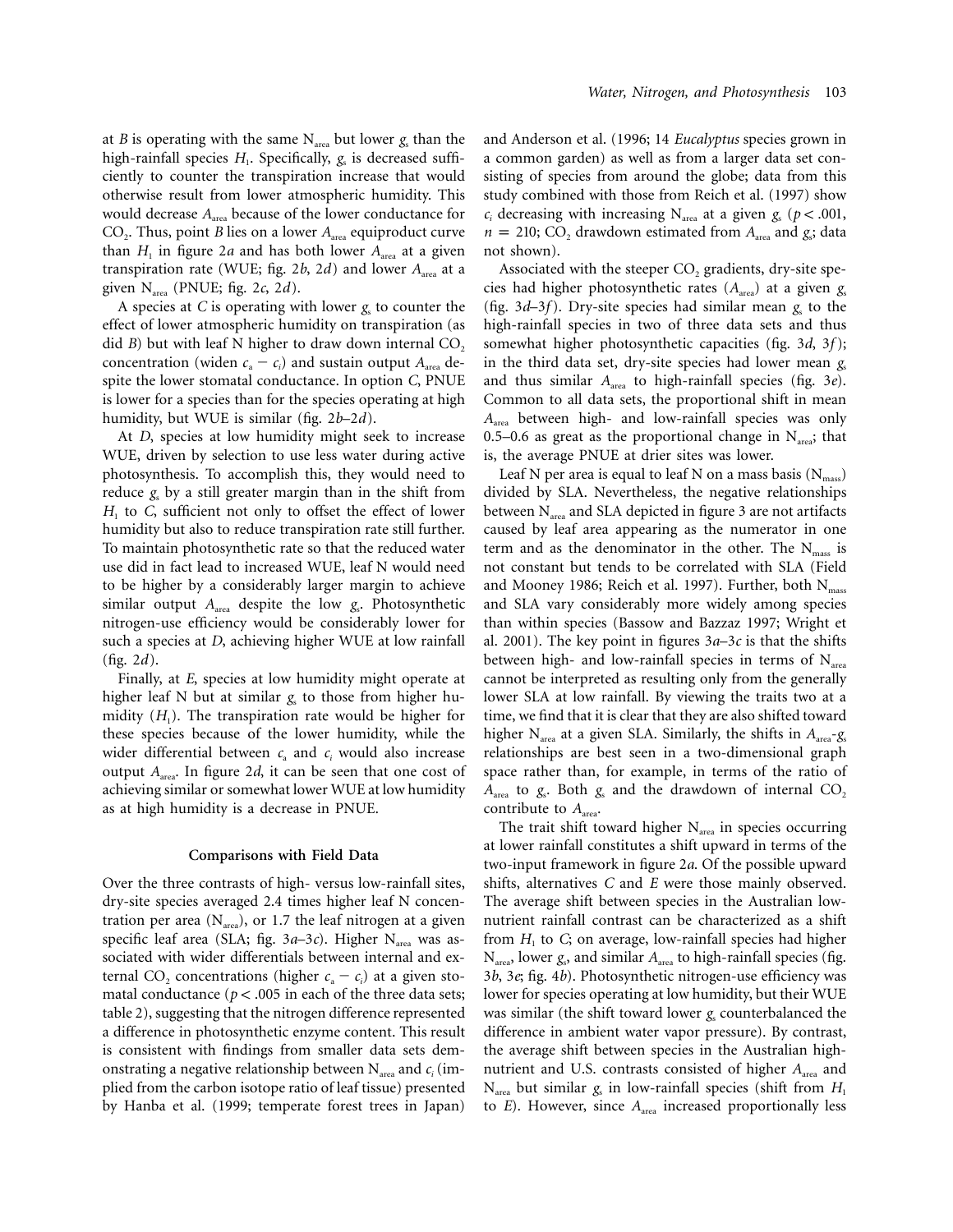at *B* is operating with the same  $N_{area}$  but lower  $g_s$  than the high-rainfall species  $H_1$ . Specifically,  $g_s$  is decreased sufficiently to counter the transpiration increase that would otherwise result from lower atmospheric humidity. This would decrease *A*area because of the lower conductance for CO<sub>2</sub>. Thus, point *B* lies on a lower  $A_{area}$  equiproduct curve than  $H_1$  in figure 2*a* and has both lower  $A_{area}$  at a given transpiration rate (WUE; fig. 2*b*, 2*d*) and lower  $A_{\text{area}}$  at a given Narea (PNUE; fig. 2*c*, 2*d*).

A species at *C* is operating with lower *g*<sup>s</sup> to counter the effect of lower atmospheric humidity on transpiration (as did  $B$ ) but with leaf N higher to draw down internal  $CO<sub>2</sub>$ concentration (widen  $c_a - c_i$ ) and sustain output  $A_{area}$  despite the lower stomatal conductance. In option *C*, PNUE is lower for a species than for the species operating at high humidity, but WUE is similar (fig. 2*b*–2*d*).

At *D*, species at low humidity might seek to increase WUE, driven by selection to use less water during active photosynthesis. To accomplish this, they would need to reduce *g*<sup>s</sup> by a still greater margin than in the shift from *H*<sup>1</sup> to *C*, sufficient not only to offset the effect of lower humidity but also to reduce transpiration rate still further. To maintain photosynthetic rate so that the reduced water use did in fact lead to increased WUE, leaf N would need to be higher by a considerably larger margin to achieve similar output  $A_{area}$  despite the low  $g_s$ . Photosynthetic nitrogen-use efficiency would be considerably lower for such a species at *D*, achieving higher WUE at low rainfall (fig. 2*d*).

Finally, at *E*, species at low humidity might operate at higher leaf N but at similar  $g<sub>s</sub>$  to those from higher humidity  $(H_1)$ . The transpiration rate would be higher for these species because of the lower humidity, while the wider differential between  $c_a$  and  $c_i$  would also increase output  $A_{area}$ . In figure 2*d*, it can be seen that one cost of achieving similar or somewhat lower WUE at low humidity as at high humidity is a decrease in PNUE.

# **Comparisons with Field Data**

Over the three contrasts of high- versus low-rainfall sites, dry-site species averaged 2.4 times higher leaf N concentration per area  $(N_{area})$ , or 1.7 the leaf nitrogen at a given specific leaf area (SLA; fig.  $3a-3c$ ). Higher N<sub>area</sub> was associated with wider differentials between internal and external CO<sub>2</sub> concentrations (higher  $c_a - c_i$ ) at a given stomatal conductance ( $p < .005$  in each of the three data sets; table 2), suggesting that the nitrogen difference represented a difference in photosynthetic enzyme content. This result is consistent with findings from smaller data sets demonstrating a negative relationship between  $N_{area}$  and  $c_i$  (implied from the carbon isotope ratio of leaf tissue) presented by Hanba et al. (1999; temperate forest trees in Japan)

and Anderson et al. (1996; 14 *Eucalyptus* species grown in a common garden) as well as from a larger data set consisting of species from around the globe; data from this study combined with those from Reich et al. (1997) show  $c_i$  decreasing with increasing N<sub>area</sub> at a given  $g_s$  ( $p < .001$ ,  $n = 210$ ; CO<sub>2</sub> drawdown estimated from  $A_{area}$  and  $g_s$ ; data not shown).

Associated with the steeper CO<sub>2</sub> gradients, dry-site species had higher photosynthetic rates (*A*area) at a given *g*<sup>s</sup> (fig.  $3d-3f$ ). Dry-site species had similar mean  $g<sub>s</sub>$  to the high-rainfall species in two of three data sets and thus somewhat higher photosynthetic capacities (fig. 3*d*, 3*f* ); in the third data set, dry-site species had lower mean  $g_s$ and thus similar *A*<sub>area</sub> to high-rainfall species (fig. 3*e*). Common to all data sets, the proportional shift in mean *A*area between high- and low-rainfall species was only 0.5–0.6 as great as the proportional change in  $N_{area}$ ; that is, the average PNUE at drier sites was lower.

Leaf N per area is equal to leaf N on a mass basis  $(N_{\rm{mass}})$ divided by SLA. Nevertheless, the negative relationships between  $N_{area}$  and SLA depicted in figure 3 are not artifacts caused by leaf area appearing as the numerator in one term and as the denominator in the other. The  $N_{\rm mass}$  is not constant but tends to be correlated with SLA (Field and Mooney 1986; Reich et al. 1997). Further, both  $N_{\rm mass}$ and SLA vary considerably more widely among species than within species (Bassow and Bazzaz 1997; Wright et al. 2001). The key point in figures 3*a*–3*c* is that the shifts between high- and low-rainfall species in terms of  $N_{area}$ cannot be interpreted as resulting only from the generally lower SLA at low rainfall. By viewing the traits two at a time, we find that it is clear that they are also shifted toward higher N<sub>area</sub> at a given SLA. Similarly, the shifts in  $A_{area} - g_s$ relationships are best seen in a two-dimensional graph space rather than, for example, in terms of the ratio of  $A_{\text{area}}$  to  $g_s$ . Both  $g_s$  and the drawdown of internal  $CO_2$ contribute to  $A_{area}$ .

The trait shift toward higher  $N_{area}$  in species occurring at lower rainfall constitutes a shift upward in terms of the two-input framework in figure 2*a*. Of the possible upward shifts, alternatives *C* and *E* were those mainly observed. The average shift between species in the Australian lownutrient rainfall contrast can be characterized as a shift from  $H<sub>1</sub>$  to  $C<sub>2</sub>$  on average, low-rainfall species had higher Narea, lower *g*<sup>s</sup> , and similar *A*area to high-rainfall species (fig. 3*b*, 3*e*; fig. 4*b*). Photosynthetic nitrogen-use efficiency was lower for species operating at low humidity, but their WUE was similar (the shift toward lower *g* counterbalanced the difference in ambient water vapor pressure). By contrast, the average shift between species in the Australian highnutrient and U.S. contrasts consisted of higher *A*<sub>area</sub> and  $N_{area}$  but similar  $g_s$  in low-rainfall species (shift from  $H_1$ ) to  $E$ ). However, since  $A_{area}$  increased proportionally less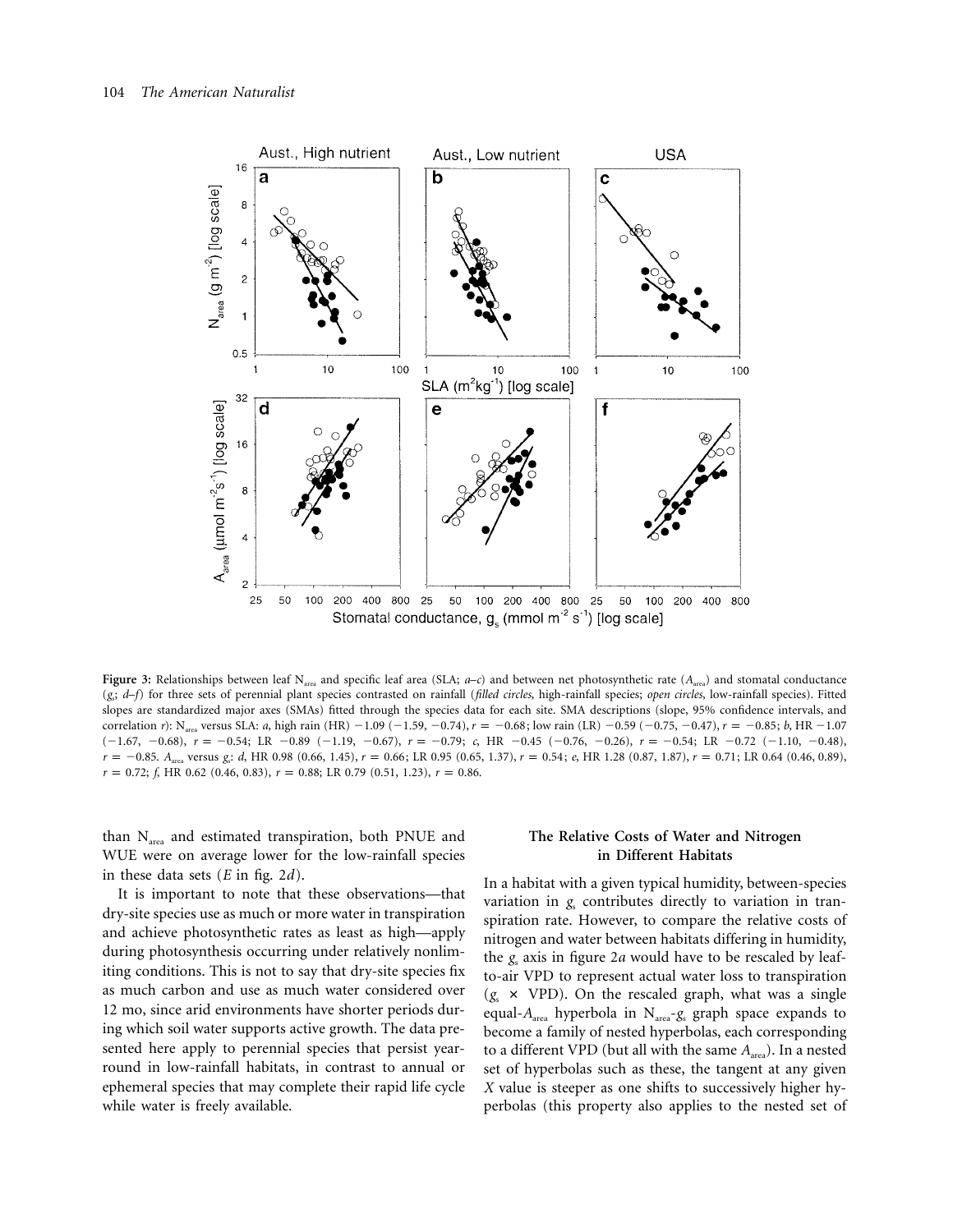

**Figure 3:** Relationships between leaf N<sub>area</sub> and specific leaf area (SLA; *a*–*c*) and between net photosynthetic rate ( $A_{\text{area}}$ ) and stomatal conductance (*g*s ; *d*–*f*) for three sets of perennial plant species contrasted on rainfall (*filled circles*, high-rainfall species; *open circles*, low-rainfall species). Fitted slopes are standardized major axes (SMAs) fitted through the species data for each site. SMA descriptions (slope, 95% confidence intervals, and correlation *r*): N<sub>area</sub> versus SLA: *a*, high rain (HR) -1.09 (-1.59, -0.74),  $r = -0.68$ ; low rain (LR) -0.59 (-0.75, -0.47),  $r = -0.85$ ; *b*, HR -1.07  $(-1.67, -0.68)$ ,  $r = -0.54$ ; LR  $-0.89$   $(-1.19, -0.67)$ ,  $r = -0.79$ ;  $c$ , HR  $-0.45$   $(-0.76, -0.26)$ ,  $r = -0.54$ ; LR  $-0.72$   $(-1.10, -0.48)$ ,  $r = -0.85$ .  $A_{\text{area}}$  versus *g<sub>s</sub>*: *d*, HR 0.98 (0.66, 1.45),  $r = 0.66$ ; LR 0.95 (0.65, 1.37),  $r = 0.54$ ; *e*, HR 1.28 (0.87, 1.87),  $r = 0.71$ ; LR 0.64 (0.46, 0.89),  $r = 0.72$ ; *f*, HR 0.62 (0.46, 0.83),  $r = 0.88$ ; LR 0.79 (0.51, 1.23),  $r = 0.86$ .

than  $N_{area}$  and estimated transpiration, both PNUE and WUE were on average lower for the low-rainfall species in these data sets (*E* in fig. 2*d*).

It is important to note that these observations—that dry-site species use as much or more water in transpiration and achieve photosynthetic rates as least as high—apply during photosynthesis occurring under relatively nonlimiting conditions. This is not to say that dry-site species fix as much carbon and use as much water considered over 12 mo, since arid environments have shorter periods during which soil water supports active growth. The data presented here apply to perennial species that persist yearround in low-rainfall habitats, in contrast to annual or ephemeral species that may complete their rapid life cycle while water is freely available.

# **The Relative Costs of Water and Nitrogen in Different Habitats**

In a habitat with a given typical humidity, between-species variation in *g*<sub>s</sub> contributes directly to variation in transpiration rate. However, to compare the relative costs of nitrogen and water between habitats differing in humidity, the *g*<sup>s</sup> axis in figure 2*a* would have to be rescaled by leafto-air VPD to represent actual water loss to transpiration  $(g_s \times VPD)$ . On the rescaled graph, what was a single equal- $A_{area}$  hyperbola in  $N_{area} - g_s$  graph space expands to become a family of nested hyperbolas, each corresponding to a different VPD (but all with the same  $A<sub>area</sub>$ ). In a nested set of hyperbolas such as these, the tangent at any given *X* value is steeper as one shifts to successively higher hyperbolas (this property also applies to the nested set of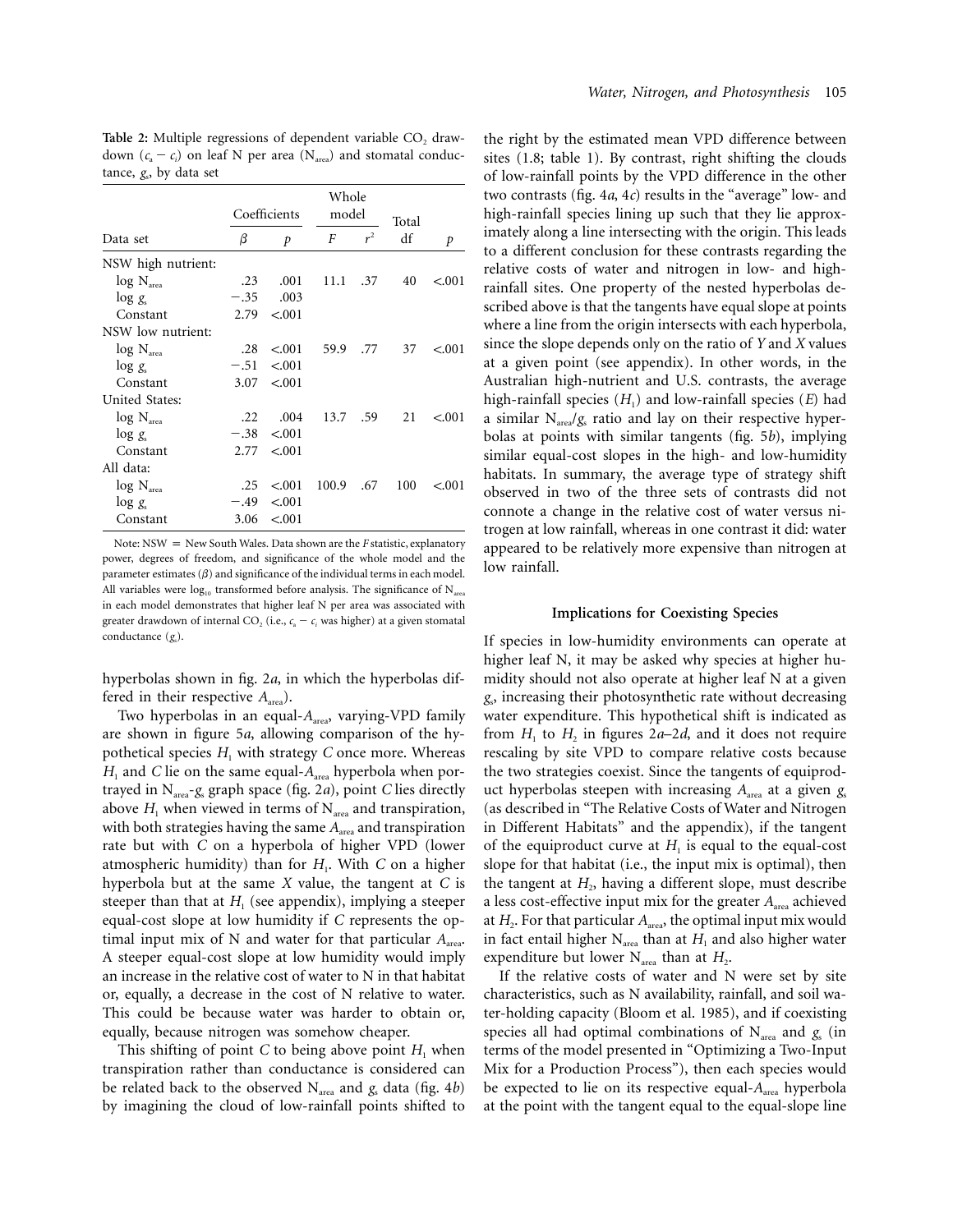Table 2: Multiple regressions of dependent variable CO<sub>2</sub> drawdown  $(c_a - c_i)$  on leaf N per area  $(N_{area})$  and stomatal conductance, *g*, by data set

|                    | Coefficients |               | Whole<br>model |          | Total |         |
|--------------------|--------------|---------------|----------------|----------|-------|---------|
| Data set           | β            | $\mathcal{P}$ | F              | $r^2$    | df    | p       |
| NSW high nutrient: |              |               |                |          |       |         |
| $log N_{area}$     | .23          | .001          | 11.1           | .37      | 40    | < 0.001 |
| $\log g$           | $-.35$       | .003          |                |          |       |         |
| Constant           | 2.79         | < 0.01        |                |          |       |         |
| NSW low nutrient:  |              |               |                |          |       |         |
| $log N_{area}$     | .28          | < 0.001       |                | 59.9 .77 | 37    | < 0.001 |
| $\log g_s$         | $-.51$       | < .001        |                |          |       |         |
| Constant           | 3.07         | < 0.01        |                |          |       |         |
| United States:     |              |               |                |          |       |         |
| $log N_{area}$     | .22          | .004          |                | 13.7 .59 | 21    | < 0.01  |
| $\log g$           | $-.38$       | < 0.001       |                |          |       |         |
| Constant           | 2.77         | < 0.001       |                |          |       |         |
| All data:          |              |               |                |          |       |         |
| $log N_{area}$     | .25          | < 0.001       | 100.9          | .67      | 100   | < 0.001 |
| $\log g_s$         | $-.49$       | < 0.001       |                |          |       |         |
| Constant           | 3.06         | < 0.001       |                |          |       |         |

Note: NSW  $=$  New South Wales. Data shown are the *F* statistic, explanatory power, degrees of freedom, and significance of the whole model and the parameter estimates  $(\beta)$  and significance of the individual terms in each model. All variables were  $log_{10}$  transformed before analysis. The significance of N<sub>are</sub> in each model demonstrates that higher leaf N per area was associated with greater drawdown of internal CO<sub>2</sub> (i.e.,  $c<sub>n</sub> = c<sub>i</sub>$  was higher) at a given stomatal conductance (*g*<sup>s</sup> ).

hyperbolas shown in fig. 2*a*, in which the hyperbolas differed in their respective  $A_{area}$ ).

Two hyperbolas in an equal-A<sub>area</sub>, varying-VPD family are shown in figure 5*a*, allowing comparison of the hypothetical species  $H_1$  with strategy  $C$  once more. Whereas  $H_1$  and *C* lie on the same equal- $A_{area}$  hyperbola when portrayed in  $N_{area}$ - $g_s$  graph space (fig. 2*a*), point *C* lies directly above  $H_1$  when viewed in terms of  $N_{area}$  and transpiration, with both strategies having the same  $A<sub>area</sub>$  and transpiration rate but with *C* on a hyperbola of higher VPD (lower atmospheric humidity) than for  $H<sub>1</sub>$ . With *C* on a higher hyperbola but at the same *X* value, the tangent at *C* is steeper than that at  $H<sub>1</sub>$  (see appendix), implying a steeper equal-cost slope at low humidity if *C* represents the optimal input mix of N and water for that particular  $A_{area}$ . A steeper equal-cost slope at low humidity would imply an increase in the relative cost of water to N in that habitat or, equally, a decrease in the cost of N relative to water. This could be because water was harder to obtain or, equally, because nitrogen was somehow cheaper.

This shifting of point *C* to being above point  $H_1$  when transpiration rather than conductance is considered can be related back to the observed  $N_{area}$  and  $g_s$  data (fig. 4*b*) by imagining the cloud of low-rainfall points shifted to the right by the estimated mean VPD difference between sites (1.8; table 1). By contrast, right shifting the clouds of low-rainfall points by the VPD difference in the other two contrasts (fig. 4*a*, 4*c*) results in the "average" low- and high-rainfall species lining up such that they lie approximately along a line intersecting with the origin. This leads to a different conclusion for these contrasts regarding the relative costs of water and nitrogen in low- and highrainfall sites. One property of the nested hyperbolas described above is that the tangents have equal slope at points where a line from the origin intersects with each hyperbola, since the slope depends only on the ratio of *Y* and *X* values at a given point (see appendix). In other words, in the Australian high-nutrient and U.S. contrasts, the average high-rainfall species  $(H_1)$  and low-rainfall species  $(E)$  had a similar  $N_{area}/g_s$  ratio and lay on their respective hyperbolas at points with similar tangents (fig. 5*b*), implying similar equal-cost slopes in the high- and low-humidity habitats. In summary, the average type of strategy shift observed in two of the three sets of contrasts did not connote a change in the relative cost of water versus nitrogen at low rainfall, whereas in one contrast it did: water appeared to be relatively more expensive than nitrogen at low rainfall.

## **Implications for Coexisting Species**

If species in low-humidity environments can operate at higher leaf N, it may be asked why species at higher humidity should not also operate at higher leaf N at a given *g*s , increasing their photosynthetic rate without decreasing water expenditure. This hypothetical shift is indicated as from  $H_1$  to  $H_2$  in figures 2*a*–2*d*, and it does not require rescaling by site VPD to compare relative costs because the two strategies coexist. Since the tangents of equiproduct hyperbolas steepen with increasing  $A_{\text{area}}$  at a given  $g_s$ (as described in "The Relative Costs of Water and Nitrogen in Different Habitats" and the appendix), if the tangent of the equiproduct curve at  $H<sub>1</sub>$  is equal to the equal-cost slope for that habitat (i.e., the input mix is optimal), then the tangent at  $H<sub>2</sub>$ , having a different slope, must describe a less cost-effective input mix for the greater  $A_{area}$  achieved at  $H_2$ . For that particular  $A_{area}$ , the optimal input mix would in fact entail higher  $N_{area}$  than at  $H_1$  and also higher water expenditure but lower  $N_{area}$  than at  $H_2$ .

If the relative costs of water and N were set by site characteristics, such as N availability, rainfall, and soil water-holding capacity (Bloom et al. 1985), and if coexisting species all had optimal combinations of  $N_{area}$  and  $g_s$  (in terms of the model presented in "Optimizing a Two-Input Mix for a Production Process"), then each species would be expected to lie on its respective equal-A<sub>area</sub> hyperbola at the point with the tangent equal to the equal-slope line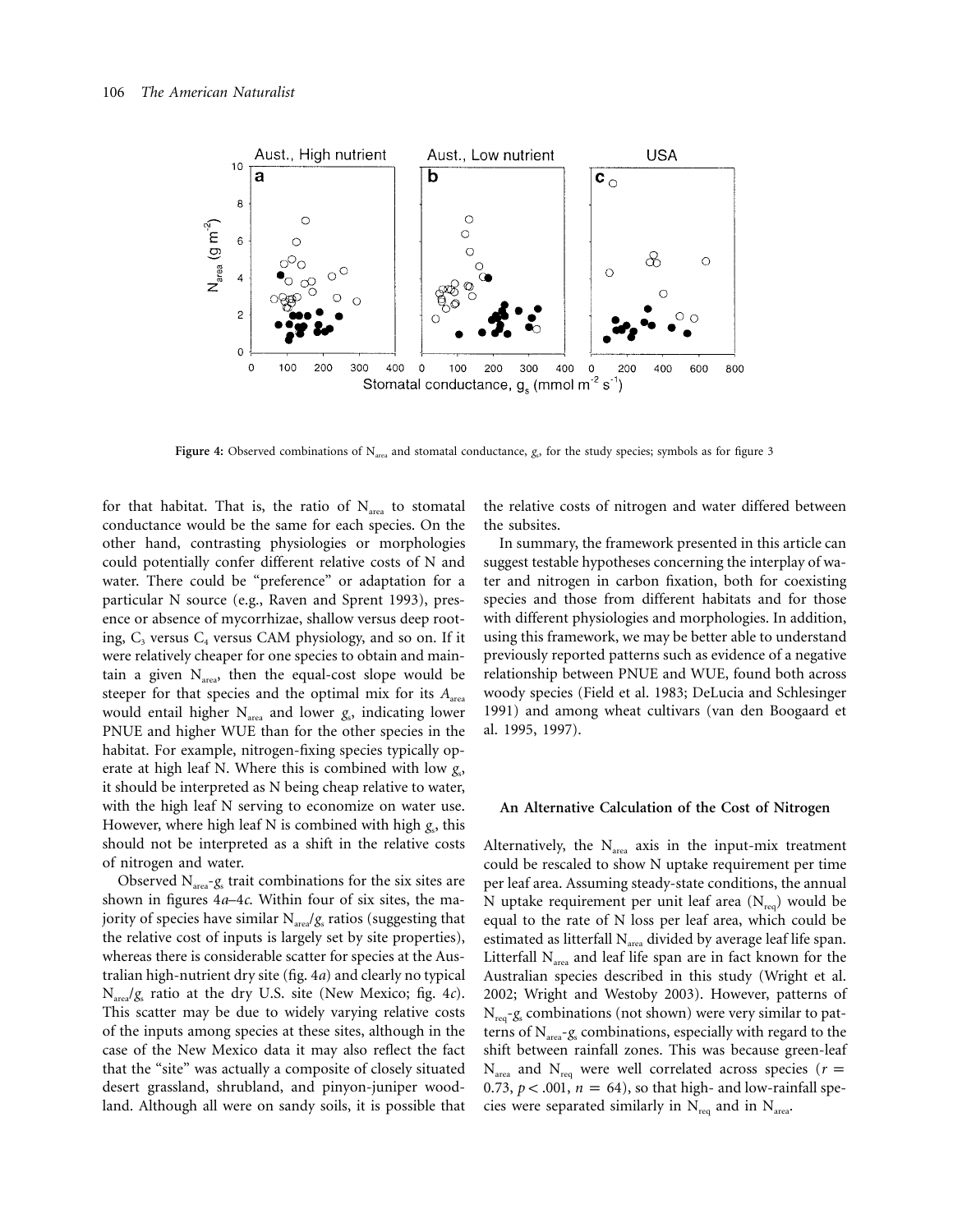

Figure 4: Observed combinations of N<sub>area</sub> and stomatal conductance, g<sub>s</sub>, for the study species; symbols as for figure 3

for that habitat. That is, the ratio of  $N_{area}$  to stomatal conductance would be the same for each species. On the other hand, contrasting physiologies or morphologies could potentially confer different relative costs of N and water. There could be "preference" or adaptation for a particular N source (e.g., Raven and Sprent 1993), presence or absence of mycorrhizae, shallow versus deep rooting,  $C_3$  versus  $C_4$  versus CAM physiology, and so on. If it were relatively cheaper for one species to obtain and maintain a given  $N_{area}$ , then the equal-cost slope would be steeper for that species and the optimal mix for its  $A_{area}$ would entail higher N<sub>area</sub> and lower *g*<sub>s</sub>, indicating lower PNUE and higher WUE than for the other species in the habitat. For example, nitrogen-fixing species typically operate at high leaf N. Where this is combined with low *g*<sub>s</sub>, it should be interpreted as N being cheap relative to water, with the high leaf N serving to economize on water use. However, where high leaf N is combined with high *g*<sub>s</sub>, this should not be interpreted as a shift in the relative costs of nitrogen and water.

Observed  $N_{area}$ -g<sub>s</sub> trait combinations for the six sites are shown in figures 4*a*–4*c*. Within four of six sites, the majority of species have similar  $N_{area}/g_s$  ratios (suggesting that the relative cost of inputs is largely set by site properties), whereas there is considerable scatter for species at the Australian high-nutrient dry site (fig. 4*a*) and clearly no typical Narea/*g*<sup>s</sup> ratio at the dry U.S. site (New Mexico; fig. 4*c*). This scatter may be due to widely varying relative costs of the inputs among species at these sites, although in the case of the New Mexico data it may also reflect the fact that the "site" was actually a composite of closely situated desert grassland, shrubland, and pinyon-juniper woodland. Although all were on sandy soils, it is possible that

the relative costs of nitrogen and water differed between the subsites.

In summary, the framework presented in this article can suggest testable hypotheses concerning the interplay of water and nitrogen in carbon fixation, both for coexisting species and those from different habitats and for those with different physiologies and morphologies. In addition, using this framework, we may be better able to understand previously reported patterns such as evidence of a negative relationship between PNUE and WUE, found both across woody species (Field et al. 1983; DeLucia and Schlesinger 1991) and among wheat cultivars (van den Boogaard et al. 1995, 1997).

#### **An Alternative Calculation of the Cost of Nitrogen**

Alternatively, the  $N_{area}$  axis in the input-mix treatment could be rescaled to show N uptake requirement per time per leaf area. Assuming steady-state conditions, the annual N uptake requirement per unit leaf area  $(N_{\text{req}})$  would be equal to the rate of N loss per leaf area, which could be estimated as litterfall  $N_{area}$  divided by average leaf life span. Litterfall  $N_{area}$  and leaf life span are in fact known for the Australian species described in this study (Wright et al. 2002; Wright and Westoby 2003). However, patterns of Nreq-*g*<sup>s</sup> combinations (not shown) were very similar to patterns of  $N_{area}$ - $g_s$  combinations, especially with regard to the shift between rainfall zones. This was because green-leaf  $N_{area}$  and  $N_{req}$  were well correlated across species ( $r =$ 0.73,  $p < .001$ ,  $n = 64$ ), so that high- and low-rainfall species were separated similarly in  $N_{\text{req}}$  and in  $N_{\text{area}}$ .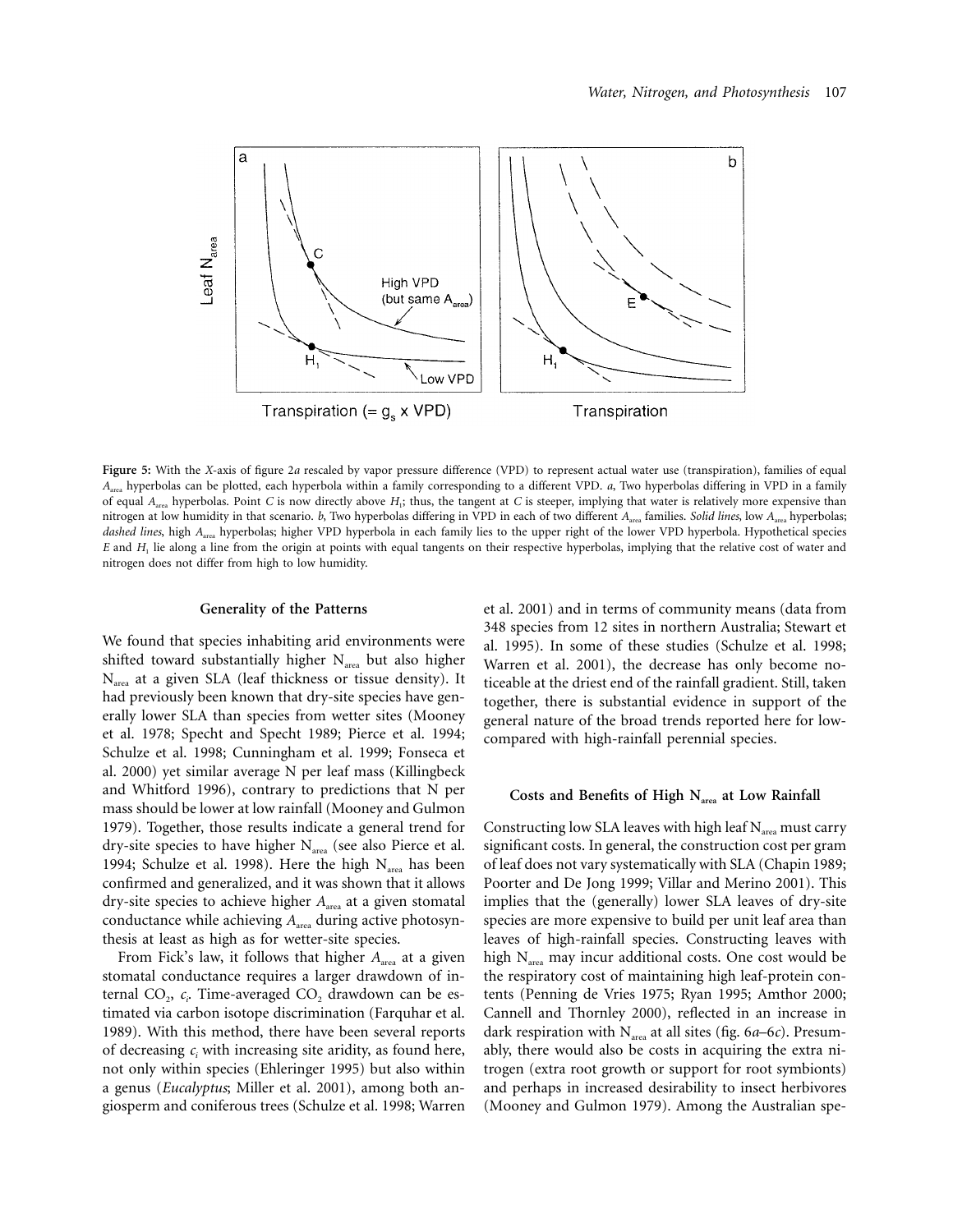

**Figure 5:** With the *X*-axis of figure 2*a* rescaled by vapor pressure difference (VPD) to represent actual water use (transpiration), families of equal *A*area hyperbolas can be plotted, each hyperbola within a family corresponding to a different VPD. *a*, Two hyperbolas differing in VPD in a family of equal  $A_{\text{area}}$  hyperbolas. Point *C* is now directly above  $H_i$ ; thus, the tangent at *C* is steeper, implying that water is relatively more expensive than nitrogen at low humidity in that scenario. *b*, Two hyperbolas differing in VPD in each of two different  $A_{area}$  families. *Solid lines*, low  $A_{area}$  hyperbolas; *dashed lines*, high *A*area hyperbolas; higher VPD hyperbola in each family lies to the upper right of the lower VPD hyperbola. Hypothetical species *E* and *H*<sup>1</sup> lie along a line from the origin at points with equal tangents on their respective hyperbolas, implying that the relative cost of water and nitrogen does not differ from high to low humidity.

## **Generality of the Patterns**

We found that species inhabiting arid environments were shifted toward substantially higher  $N_{area}$  but also higher  $N_{area}$  at a given SLA (leaf thickness or tissue density). It had previously been known that dry-site species have generally lower SLA than species from wetter sites (Mooney et al. 1978; Specht and Specht 1989; Pierce et al. 1994; Schulze et al. 1998; Cunningham et al. 1999; Fonseca et al. 2000) yet similar average N per leaf mass (Killingbeck and Whitford 1996), contrary to predictions that N per mass should be lower at low rainfall (Mooney and Gulmon 1979). Together, those results indicate a general trend for dry-site species to have higher N<sub>area</sub> (see also Pierce et al. 1994; Schulze et al. 1998). Here the high  $N_{area}$  has been confirmed and generalized, and it was shown that it allows dry-site species to achieve higher *A*<sub>area</sub> at a given stomatal conductance while achieving  $A_{area}$  during active photosynthesis at least as high as for wetter-site species.

From Fick's law, it follows that higher  $A_{area}$  at a given stomatal conductance requires a larger drawdown of internal CO<sub>2</sub>, c<sub>i</sub>. Time-averaged CO<sub>2</sub> drawdown can be estimated via carbon isotope discrimination (Farquhar et al. 1989). With this method, there have been several reports of decreasing *ci* with increasing site aridity, as found here, not only within species (Ehleringer 1995) but also within a genus (*Eucalyptus*; Miller et al. 2001), among both angiosperm and coniferous trees (Schulze et al. 1998; Warren

et al. 2001) and in terms of community means (data from 348 species from 12 sites in northern Australia; Stewart et al. 1995). In some of these studies (Schulze et al. 1998; Warren et al. 2001), the decrease has only become noticeable at the driest end of the rainfall gradient. Still, taken together, there is substantial evidence in support of the general nature of the broad trends reported here for lowcompared with high-rainfall perennial species.

# Costs and Benefits of High N<sub>area</sub> at Low Rainfall

Constructing low SLA leaves with high leaf  $N_{area}$  must carry significant costs. In general, the construction cost per gram of leaf does not vary systematically with SLA (Chapin 1989; Poorter and De Jong 1999; Villar and Merino 2001). This implies that the (generally) lower SLA leaves of dry-site species are more expensive to build per unit leaf area than leaves of high-rainfall species. Constructing leaves with high  $N_{area}$  may incur additional costs. One cost would be the respiratory cost of maintaining high leaf-protein contents (Penning de Vries 1975; Ryan 1995; Amthor 2000; Cannell and Thornley 2000), reflected in an increase in dark respiration with  $N_{area}$  at all sites (fig. 6*a*–6*c*). Presumably, there would also be costs in acquiring the extra nitrogen (extra root growth or support for root symbionts) and perhaps in increased desirability to insect herbivores (Mooney and Gulmon 1979). Among the Australian spe-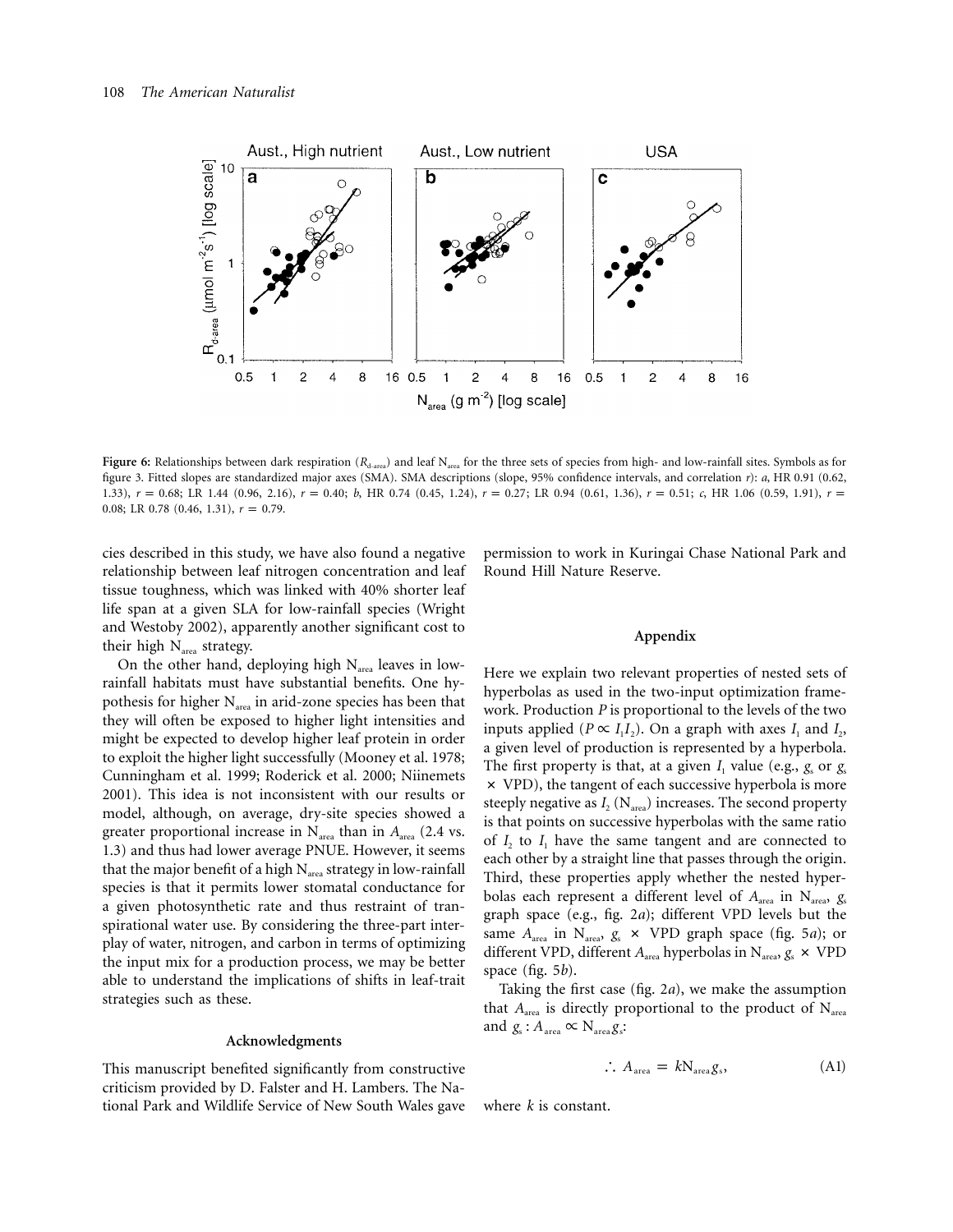

Figure 6: Relationships between dark respiration ( $R_{d\text{-area}}$ ) and leaf N<sub>area</sub> for the three sets of species from high- and low-rainfall sites. Symbols as for figure 3. Fitted slopes are standardized major axes (SMA). SMA descriptions (slope, 95% confidence intervals, and correlation *r*): *a*, HR 0.91 (0.62, 1.33),  $r = 0.68$ ; LR 1.44 (0.96, 2.16),  $r = 0.40$ ; b, HR 0.74 (0.45, 1.24),  $r = 0.27$ ; LR 0.94 (0.61, 1.36),  $r = 0.51$ ; c, HR 1.06 (0.59, 1.91),  $r =$ 0.08; LR 0.78 (0.46, 1.31),  $r = 0.79$ .

cies described in this study, we have also found a negative relationship between leaf nitrogen concentration and leaf tissue toughness, which was linked with 40% shorter leaf life span at a given SLA for low-rainfall species (Wright and Westoby 2002), apparently another significant cost to their high  $N_{area}$  strategy.

On the other hand, deploying high  $N_{area}$  leaves in lowrainfall habitats must have substantial benefits. One hypothesis for higher  $N_{area}$  in arid-zone species has been that they will often be exposed to higher light intensities and might be expected to develop higher leaf protein in order to exploit the higher light successfully (Mooney et al. 1978; Cunningham et al. 1999; Roderick et al. 2000; Niinemets 2001). This idea is not inconsistent with our results or model, although, on average, dry-site species showed a greater proportional increase in  $N_{area}$  than in  $A_{area}$  (2.4 vs. 1.3) and thus had lower average PNUE. However, it seems that the major benefit of a high  $N_{area}$  strategy in low-rainfall species is that it permits lower stomatal conductance for a given photosynthetic rate and thus restraint of transpirational water use. By considering the three-part interplay of water, nitrogen, and carbon in terms of optimizing the input mix for a production process, we may be better able to understand the implications of shifts in leaf-trait strategies such as these.

## **Acknowledgments**

This manuscript benefited significantly from constructive criticism provided by D. Falster and H. Lambers. The National Park and Wildlife Service of New South Wales gave permission to work in Kuringai Chase National Park and Round Hill Nature Reserve.

#### **Appendix**

Here we explain two relevant properties of nested sets of hyperbolas as used in the two-input optimization framework. Production *P* is proportional to the levels of the two inputs applied ( $P \propto I_1 I_2$ ). On a graph with axes  $I_1$  and  $I_2$ , a given level of production is represented by a hyperbola. The first property is that, at a given  $I_1$  value (e.g.,  $g_s$  or  $g_s$ )  $\times$  VPD), the tangent of each successive hyperbola is more steeply negative as  $I_2$  ( $N_{area}$ ) increases. The second property is that points on successive hyperbolas with the same ratio of  $I_2$  to  $I_1$  have the same tangent and are connected to each other by a straight line that passes through the origin. Third, these properties apply whether the nested hyperbolas each represent a different level of  $A_{area}$  in N<sub>area</sub>, *g*<sub>s</sub> graph space (e.g., fig. 2*a*); different VPD levels but the same  $A_{\text{area}}$  in  $N_{\text{area}}$ ,  $g_s \times \text{VPD}$  graph space (fig. 5*a*); or different VPD, different  $A_{area}$  hyperbolas in  $N_{area}$ ,  $g_s \times VPD$ space (fig. 5*b*).

Taking the first case (fig. 2*a*), we make the assumption that  $A_{area}$  is directly proportional to the product of  $N_{area}$ and  $g_s$ :  $A_{area} \propto N_{area} g_s$ :

$$
\therefore A_{\text{area}} = kN_{\text{area}}g_s,\tag{A1}
$$

where *k* is constant.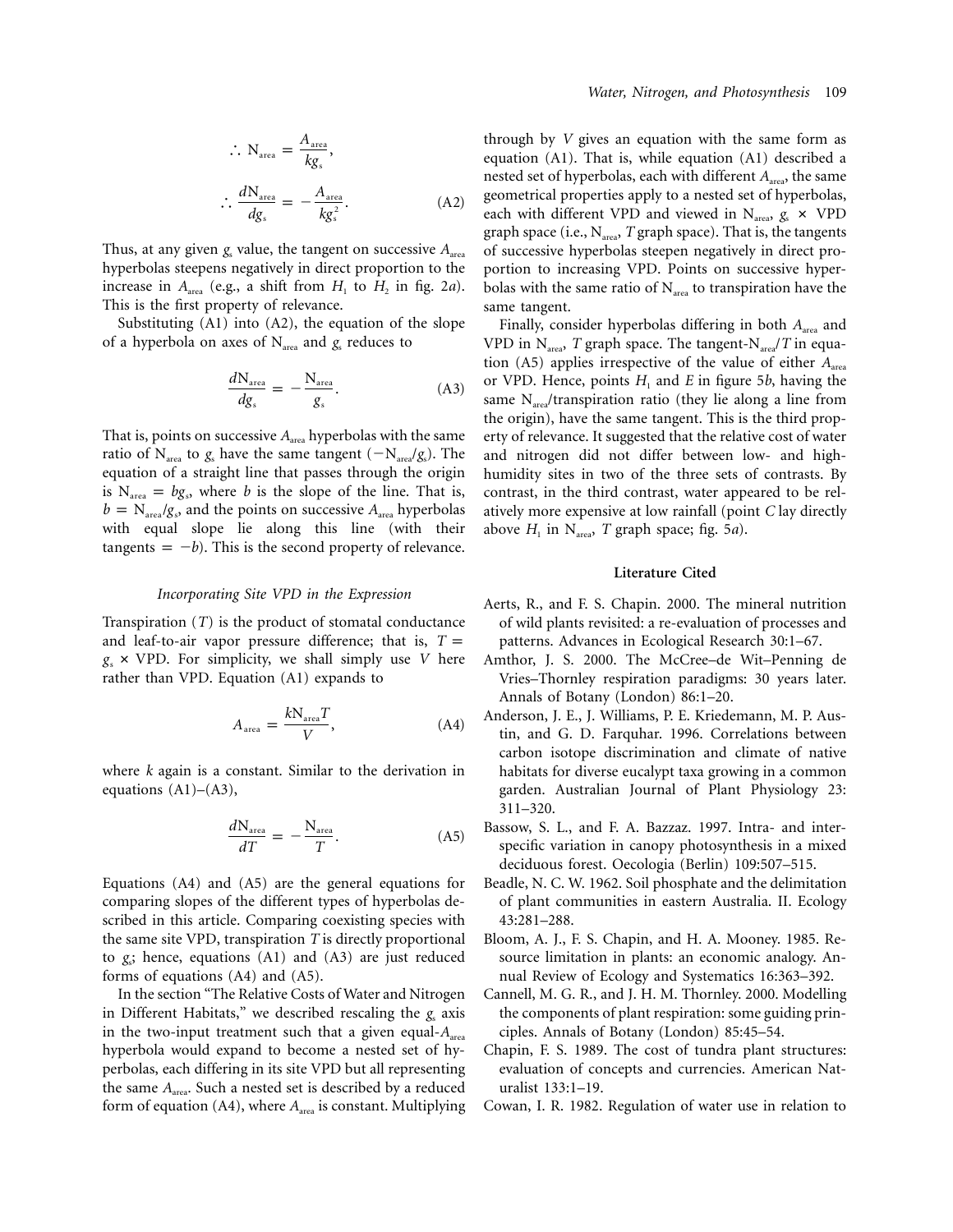$$
\therefore N_{area} = \frac{A_{area}}{kg_s},
$$
  

$$
\therefore \frac{dN_{area}}{dg_s} = -\frac{A_{area}}{kg_s^2}.
$$
 (A2)

Thus, at any given  $g_s$  value, the tangent on successive  $A_{area}$ hyperbolas steepens negatively in direct proportion to the increase in  $A_{\text{area}}$  (e.g., a shift from  $H_1$  to  $H_2$  in fig. 2*a*). This is the first property of relevance.

Substituting (A1) into (A2), the equation of the slope of a hyperbola on axes of  $N_{area}$  and  $g_s$  reduces to

$$
\frac{dN_{\text{area}}}{dg_s} = -\frac{N_{\text{area}}}{g_s}.
$$
 (A3)

That is, points on successive  $A_{area}$  hyperbolas with the same ratio of  $N_{area}$  to  $g_s$  have the same tangent  $(-N_{area}/g_s)$ . The equation of a straight line that passes through the origin is  $N_{area} = bg_s$ , where *b* is the slope of the line. That is,  $b = N_{area}/g_s$ , and the points on successive  $A_{area}$  hyperbolas with equal slope lie along this line (with their tangents  $= -b$ ). This is the second property of relevance.

#### *Incorporating Site VPD in the Expression*

Transpiration (*T*) is the product of stomatal conductance and leaf-to-air vapor pressure difference; that is,  $T =$  $g_s \times \text{VPD}$ . For simplicity, we shall simply use *V* here rather than VPD. Equation (A1) expands to

$$
A_{\text{area}} = \frac{kN_{\text{area}}T}{V}, \tag{A4}
$$

where *k* again is a constant. Similar to the derivation in equations (A1)–(A3),

$$
\frac{dN_{\text{area}}}{dT} = -\frac{N_{\text{area}}}{T}.
$$
\n(A5)

Equations (A4) and (A5) are the general equations for comparing slopes of the different types of hyperbolas described in this article. Comparing coexisting species with the same site VPD, transpiration *T* is directly proportional to *g*<sup>s</sup> ; hence, equations (A1) and (A3) are just reduced forms of equations (A4) and (A5).

In the section "The Relative Costs of Water and Nitrogen in Different Habitats," we described rescaling the *g* axis in the two-input treatment such that a given equal- $A_{area}$ hyperbola would expand to become a nested set of hyperbolas, each differing in its site VPD but all representing the same  $A_{area}$ . Such a nested set is described by a reduced form of equation (A4), where  $A_{area}$  is constant. Multiplying through by *V* gives an equation with the same form as equation (A1). That is, while equation (A1) described a nested set of hyperbolas, each with different *A*<sub>area</sub>, the same geometrical properties apply to a nested set of hyperbolas, each with different VPD and viewed in  $N_{area}$ ,  $g_s \times VPD$ graph space (i.e.,  $N_{area}$ , *T* graph space). That is, the tangents of successive hyperbolas steepen negatively in direct proportion to increasing VPD. Points on successive hyperbolas with the same ratio of  $N_{area}$  to transpiration have the same tangent.

Finally, consider hyperbolas differing in both  $A_{area}$  and VPD in  $N_{area}$ , *T* graph space. The tangent- $N_{area}/T$  in equation (A5) applies irrespective of the value of either  $A_{area}$ or VPD. Hence, points  $H_1$  and  $E$  in figure 5*b*, having the same  $N_{area}$ /transpiration ratio (they lie along a line from the origin), have the same tangent. This is the third property of relevance. It suggested that the relative cost of water and nitrogen did not differ between low- and highhumidity sites in two of the three sets of contrasts. By contrast, in the third contrast, water appeared to be relatively more expensive at low rainfall (point *C* lay directly above  $H_1$  in N<sub>area</sub>, T graph space; fig. 5*a*).

# **Literature Cited**

- Aerts, R., and F. S. Chapin. 2000. The mineral nutrition of wild plants revisited: a re-evaluation of processes and patterns. Advances in Ecological Research 30:1–67.
- Amthor, J. S. 2000. The McCree–de Wit–Penning de Vries–Thornley respiration paradigms: 30 years later. Annals of Botany (London) 86:1–20.
- Anderson, J. E., J. Williams, P. E. Kriedemann, M. P. Austin, and G. D. Farquhar. 1996. Correlations between carbon isotope discrimination and climate of native habitats for diverse eucalypt taxa growing in a common garden. Australian Journal of Plant Physiology 23: 311–320.
- Bassow, S. L., and F. A. Bazzaz. 1997. Intra- and interspecific variation in canopy photosynthesis in a mixed deciduous forest. Oecologia (Berlin) 109:507–515.
- Beadle, N. C. W. 1962. Soil phosphate and the delimitation of plant communities in eastern Australia. II. Ecology 43:281–288.
- Bloom, A. J., F. S. Chapin, and H. A. Mooney. 1985. Resource limitation in plants: an economic analogy. Annual Review of Ecology and Systematics 16:363–392.
- Cannell, M. G. R., and J. H. M. Thornley. 2000. Modelling the components of plant respiration: some guiding principles. Annals of Botany (London) 85:45–54.
- Chapin, F. S. 1989. The cost of tundra plant structures: evaluation of concepts and currencies. American Naturalist 133:1–19.
- Cowan, I. R. 1982. Regulation of water use in relation to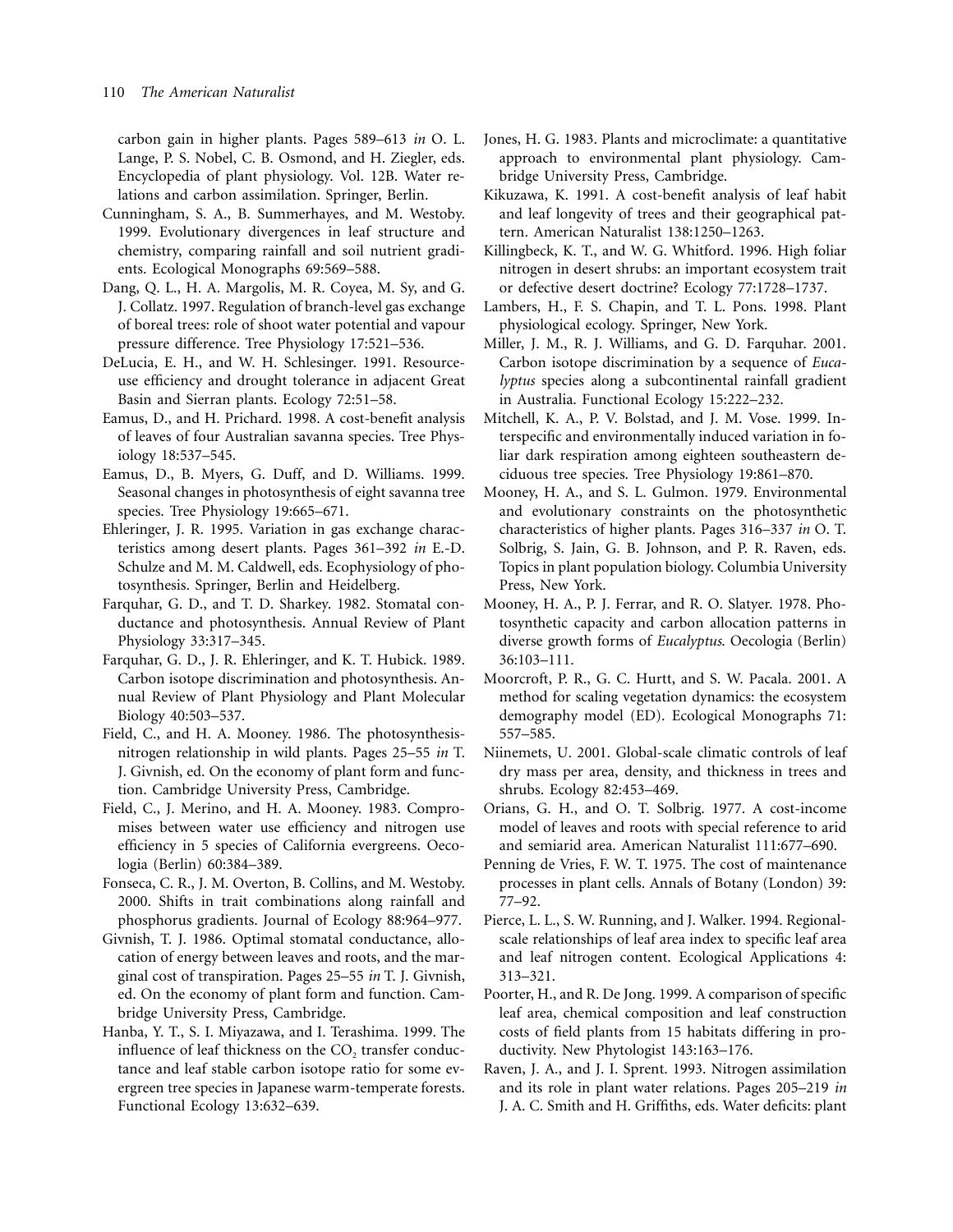carbon gain in higher plants. Pages 589–613 *in* O. L. Lange, P. S. Nobel, C. B. Osmond, and H. Ziegler, eds. Encyclopedia of plant physiology. Vol. 12B. Water relations and carbon assimilation. Springer, Berlin.

- Cunningham, S. A., B. Summerhayes, and M. Westoby. 1999. Evolutionary divergences in leaf structure and chemistry, comparing rainfall and soil nutrient gradients. Ecological Monographs 69:569–588.
- Dang, Q. L., H. A. Margolis, M. R. Coyea, M. Sy, and G. J. Collatz. 1997. Regulation of branch-level gas exchange of boreal trees: role of shoot water potential and vapour pressure difference. Tree Physiology 17:521–536.
- DeLucia, E. H., and W. H. Schlesinger. 1991. Resourceuse efficiency and drought tolerance in adjacent Great Basin and Sierran plants. Ecology 72:51–58.
- Eamus, D., and H. Prichard. 1998. A cost-benefit analysis of leaves of four Australian savanna species. Tree Physiology 18:537–545.
- Eamus, D., B. Myers, G. Duff, and D. Williams. 1999. Seasonal changes in photosynthesis of eight savanna tree species. Tree Physiology 19:665–671.
- Ehleringer, J. R. 1995. Variation in gas exchange characteristics among desert plants. Pages 361–392 *in* E.-D. Schulze and M. M. Caldwell, eds. Ecophysiology of photosynthesis. Springer, Berlin and Heidelberg.
- Farquhar, G. D., and T. D. Sharkey. 1982. Stomatal conductance and photosynthesis. Annual Review of Plant Physiology 33:317–345.
- Farquhar, G. D., J. R. Ehleringer, and K. T. Hubick. 1989. Carbon isotope discrimination and photosynthesis. Annual Review of Plant Physiology and Plant Molecular Biology 40:503–537.
- Field, C., and H. A. Mooney. 1986. The photosynthesisnitrogen relationship in wild plants. Pages 25–55 *in* T. J. Givnish, ed. On the economy of plant form and function. Cambridge University Press, Cambridge.
- Field, C., J. Merino, and H. A. Mooney. 1983. Compromises between water use efficiency and nitrogen use efficiency in 5 species of California evergreens. Oecologia (Berlin) 60:384–389.
- Fonseca, C. R., J. M. Overton, B. Collins, and M. Westoby. 2000. Shifts in trait combinations along rainfall and phosphorus gradients. Journal of Ecology 88:964–977.
- Givnish, T. J. 1986. Optimal stomatal conductance, allocation of energy between leaves and roots, and the marginal cost of transpiration. Pages 25–55 *in* T. J. Givnish, ed. On the economy of plant form and function. Cambridge University Press, Cambridge.
- Hanba, Y. T., S. I. Miyazawa, and I. Terashima. 1999. The influence of leaf thickness on the  $CO<sub>2</sub>$  transfer conductance and leaf stable carbon isotope ratio for some evergreen tree species in Japanese warm-temperate forests. Functional Ecology 13:632–639.
- Jones, H. G. 1983. Plants and microclimate: a quantitative approach to environmental plant physiology. Cambridge University Press, Cambridge.
- Kikuzawa, K. 1991. A cost-benefit analysis of leaf habit and leaf longevity of trees and their geographical pattern. American Naturalist 138:1250–1263.
- Killingbeck, K. T., and W. G. Whitford. 1996. High foliar nitrogen in desert shrubs: an important ecosystem trait or defective desert doctrine? Ecology 77:1728–1737.
- Lambers, H., F. S. Chapin, and T. L. Pons. 1998. Plant physiological ecology. Springer, New York.
- Miller, J. M., R. J. Williams, and G. D. Farquhar. 2001. Carbon isotope discrimination by a sequence of *Eucalyptus* species along a subcontinental rainfall gradient in Australia. Functional Ecology 15:222–232.
- Mitchell, K. A., P. V. Bolstad, and J. M. Vose. 1999. Interspecific and environmentally induced variation in foliar dark respiration among eighteen southeastern deciduous tree species. Tree Physiology 19:861–870.
- Mooney, H. A., and S. L. Gulmon. 1979. Environmental and evolutionary constraints on the photosynthetic characteristics of higher plants. Pages 316–337 *in* O. T. Solbrig, S. Jain, G. B. Johnson, and P. R. Raven, eds. Topics in plant population biology. Columbia University Press, New York.
- Mooney, H. A., P. J. Ferrar, and R. O. Slatyer. 1978. Photosynthetic capacity and carbon allocation patterns in diverse growth forms of *Eucalyptus*. Oecologia (Berlin) 36:103–111.
- Moorcroft, P. R., G. C. Hurtt, and S. W. Pacala. 2001. A method for scaling vegetation dynamics: the ecosystem demography model (ED). Ecological Monographs 71: 557–585.
- Niinemets, U. 2001. Global-scale climatic controls of leaf dry mass per area, density, and thickness in trees and shrubs. Ecology 82:453–469.
- Orians, G. H., and O. T. Solbrig. 1977. A cost-income model of leaves and roots with special reference to arid and semiarid area. American Naturalist 111:677–690.
- Penning de Vries, F. W. T. 1975. The cost of maintenance processes in plant cells. Annals of Botany (London) 39: 77–92.
- Pierce, L. L., S. W. Running, and J. Walker. 1994. Regionalscale relationships of leaf area index to specific leaf area and leaf nitrogen content. Ecological Applications 4: 313–321.
- Poorter, H., and R. De Jong. 1999. A comparison of specific leaf area, chemical composition and leaf construction costs of field plants from 15 habitats differing in productivity. New Phytologist 143:163–176.
- Raven, J. A., and J. I. Sprent. 1993. Nitrogen assimilation and its role in plant water relations. Pages 205–219 *in* J. A. C. Smith and H. Griffiths, eds. Water deficits: plant